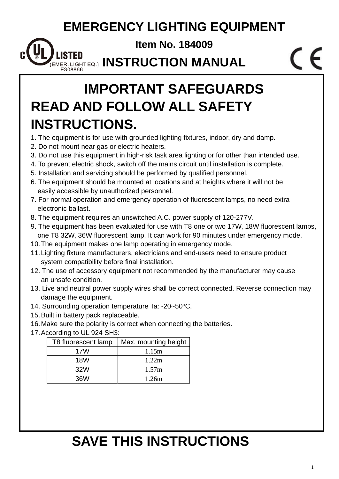### **EMERGENCY LIGHTING EQUIPMENT**

**Item No. 184009** 

**MER.LIGHTEQ.) INSTRUCTION MANUAL** E308866

## **IMPORTANT SAFEGUARDS READ AND FOLLOW ALL SAFETY INSTRUCTIONS.**

- 1. The equipment is for use with grounded lighting fixtures, indoor, dry and damp.
- 2. Do not mount near gas or electric heaters.
- 3. Do not use this equipment in high-risk task area lighting or for other than intended use.
- 4. To prevent electric shock, switch off the mains circuit until installation is complete.
- 5. Installation and servicing should be performed by qualified personnel.
- 6. The equipment should be mounted at locations and at heights where it will not be easily accessible by unauthorized personnel.
- 7. For normal operation and emergency operation of fluorescent lamps, no need extra electronic ballast.
- 8. The equipment requires an unswitched A.C. power supply of 120-277V.
- 9. The equipment has been evaluated for use with T8 one or two 17W, 18W fluorescent lamps, one T8 32W, 36W fluorescent lamp. It can work for 90 minutes under emergency mode.
- 10. The equipment makes one lamp operating in emergency mode.
- 11. Lighting fixture manufacturers, electricians and end-users need to ensure product system compatibility before final installation.
- 12. The use of accessory equipment not recommended by the manufacturer may cause an unsafe condition.
- 13. Live and neutral power supply wires shall be correct connected. Reverse connection may damage the equipment.
- 14. Surrounding operation temperature Ta: -20~50ºC.
- 15. Built in battery pack replaceable.
- 16. Make sure the polarity is correct when connecting the batteries.
- 17. According to UL 924 SH3:

| T8 fluorescent lamp | Max. mounting height |
|---------------------|----------------------|
| 17W                 | 1.15m                |
| <b>18W</b>          | 1.22 <sub>m</sub>    |
| 32W                 | 1.57m                |
| 36W                 | 1.26m                |

# **SAVE THIS INSTRUCTIONS**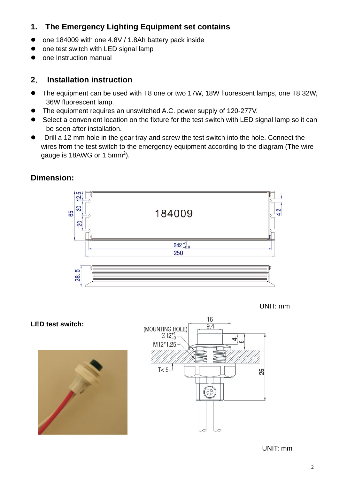### **1. The Emergency Lighting Equipment set contains**

- one 184009 with one 4.8V / 1.8Ah battery pack inside
- one test switch with LED signal lamp
- one Instruction manual

#### **2**. **Installation instruction**

- The equipment can be used with T8 one or two 17W, 18W fluorescent lamps, one T8 32W, 36W fluorescent lamp.
- The equipment requires an unswitched A.C. power supply of 120-277V.
- Select a convenient location on the fixture for the test switch with LED signal lamp so it can be seen after installation.
- Drill a 12 mm hole in the gear tray and screw the test switch into the hole. Connect the wires from the test switch to the emergency equipment according to the diagram (The wire gauge is 18AWG or 1.5mm<sup>2</sup>).

#### ē 으 20 65 184009 20  $242^{+1}_{-0.0}$ 250 5 28



**LED test switch:** 

**Dimension:** 





UNIT: mm